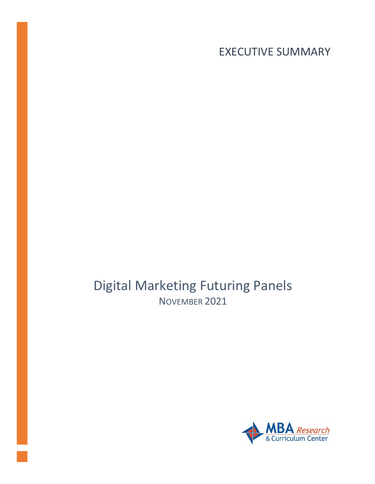EXECUTIVE SUMMARY

Digital Marketing Futuring Panels NOVEMBER 2021

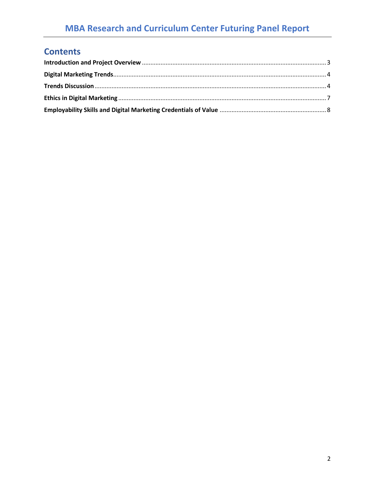# **Contents**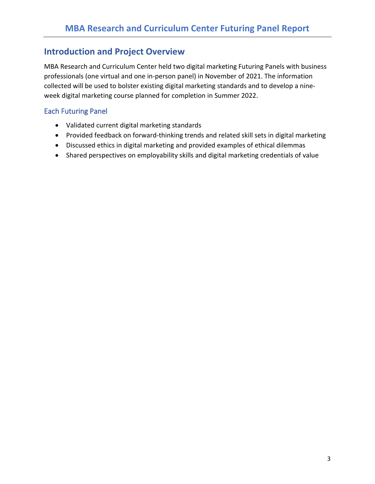## <span id="page-2-0"></span>**Introduction and Project Overview**

MBA Research and Curriculum Center held two digital marketing Futuring Panels with business professionals (one virtual and one in-person panel) in November of 2021. The information collected will be used to bolster existing digital marketing standards and to develop a nineweek digital marketing course planned for completion in Summer 2022.

### Each Futuring Panel

- Validated current digital marketing standards
- Provided feedback on forward-thinking trends and related skill sets in digital marketing
- Discussed ethics in digital marketing and provided examples of ethical dilemmas
- Shared perspectives on employability skills and digital marketing credentials of value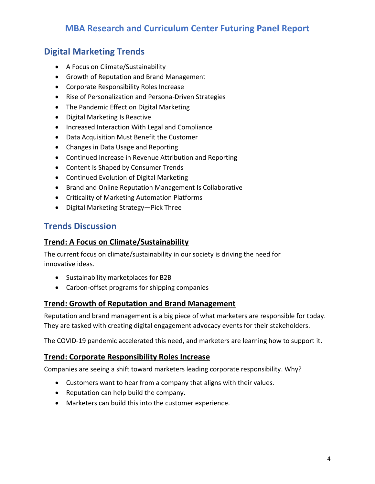## <span id="page-3-0"></span>**Digital Marketing Trends**

- A Focus on Climate/Sustainability
- Growth of Reputation and Brand Management
- Corporate Responsibility Roles Increase
- Rise of Personalization and Persona-Driven Strategies
- The Pandemic Effect on Digital Marketing
- Digital Marketing Is Reactive
- Increased Interaction With Legal and Compliance
- Data Acquisition Must Benefit the Customer
- Changes in Data Usage and Reporting
- Continued Increase in Revenue Attribution and Reporting
- Content Is Shaped by Consumer Trends
- Continued Evolution of Digital Marketing
- Brand and Online Reputation Management Is Collaborative
- Criticality of Marketing Automation Platforms
- Digital Marketing Strategy—Pick Three

## <span id="page-3-1"></span>**Trends Discussion**

#### **Trend: A Focus on Climate/Sustainability**

The current focus on climate/sustainability in our society is driving the need for innovative ideas.

- Sustainability marketplaces for B2B
- Carbon-offset programs for shipping companies

#### **Trend: Growth of Reputation and Brand Management**

Reputation and brand management is a big piece of what marketers are responsible for today. They are tasked with creating digital engagement advocacy events for their stakeholders.

The COVID-19 pandemic accelerated this need, and marketers are learning how to support it.

#### **Trend: Corporate Responsibility Roles Increase**

Companies are seeing a shift toward marketers leading corporate responsibility. Why?

- Customers want to hear from a company that aligns with their values.
- Reputation can help build the company.
- Marketers can build this into the customer experience.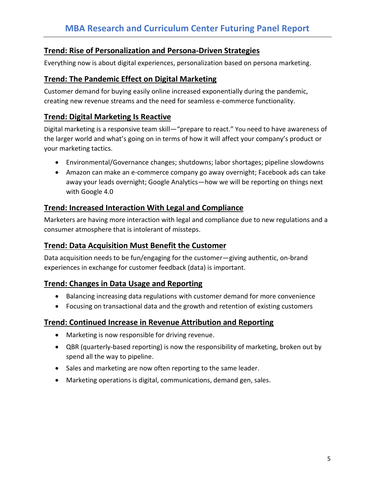## **Trend: Rise of Personalization and Persona-Driven Strategies**

Everything now is about digital experiences, personalization based on persona marketing.

### **Trend: The Pandemic Effect on Digital Marketing**

Customer demand for buying easily online increased exponentially during the pandemic, creating new revenue streams and the need for seamless e-commerce functionality.

## **Trend: Digital Marketing Is Reactive**

Digital marketing is a responsive team skill—"prepare to react." You need to have awareness of the larger world and what's going on in terms of how it will affect your company's product or your marketing tactics.

- Environmental/Governance changes; shutdowns; labor shortages; pipeline slowdowns
- Amazon can make an e-commerce company go away overnight; Facebook ads can take away your leads overnight; Google Analytics—how we will be reporting on things next with Google 4.0

## **Trend: Increased Interaction With Legal and Compliance**

Marketers are having more interaction with legal and compliance due to new regulations and a consumer atmosphere that is intolerant of missteps.

## **Trend: Data Acquisition Must Benefit the Customer**

Data acquisition needs to be fun/engaging for the customer—giving authentic, on-brand experiences in exchange for customer feedback (data) is important.

## **Trend: Changes in Data Usage and Reporting**

- Balancing increasing data regulations with customer demand for more convenience
- Focusing on transactional data and the growth and retention of existing customers

#### **Trend: Continued Increase in Revenue Attribution and Reporting**

- Marketing is now responsible for driving revenue.
- QBR (quarterly-based reporting) is now the responsibility of marketing, broken out by spend all the way to pipeline.
- Sales and marketing are now often reporting to the same leader.
- Marketing operations is digital, communications, demand gen, sales.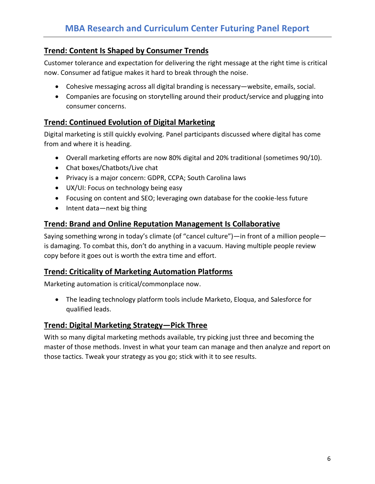## **Trend: Content Is Shaped by Consumer Trends**

Customer tolerance and expectation for delivering the right message at the right time is critical now. Consumer ad fatigue makes it hard to break through the noise.

- Cohesive messaging across all digital branding is necessary—website, emails, social.
- Companies are focusing on storytelling around their product/service and plugging into consumer concerns.

## **Trend: Continued Evolution of Digital Marketing**

Digital marketing is still quickly evolving. Panel participants discussed where digital has come from and where it is heading.

- Overall marketing efforts are now 80% digital and 20% traditional (sometimes 90/10).
- Chat boxes/Chatbots/Live chat
- Privacy is a major concern: GDPR, CCPA; South Carolina laws
- UX/UI: Focus on technology being easy
- Focusing on content and SEO; leveraging own database for the cookie-less future
- Intent data—next big thing

## **Trend: Brand and Online Reputation Management Is Collaborative**

Saying something wrong in today's climate (of "cancel culture")—in front of a million people is damaging. To combat this, don't do anything in a vacuum. Having multiple people review copy before it goes out is worth the extra time and effort.

## **Trend: Criticality of Marketing Automation Platforms**

Marketing automation is critical/commonplace now.

• The leading technology platform tools include Marketo, Eloqua, and Salesforce for qualified leads.

## **Trend: Digital Marketing Strategy—Pick Three**

With so many digital marketing methods available, try picking just three and becoming the master of those methods. Invest in what your team can manage and then analyze and report on those tactics. Tweak your strategy as you go; stick with it to see results.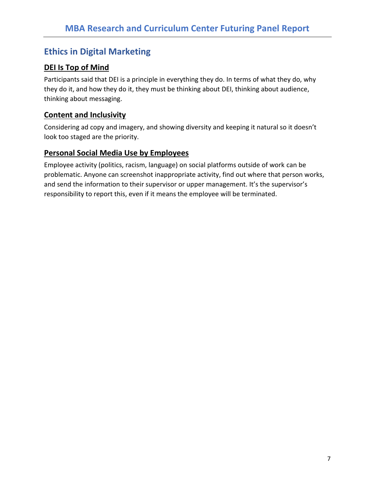## <span id="page-6-0"></span>**Ethics in Digital Marketing**

## **DEI Is Top of Mind**

Participants said that DEI is a principle in everything they do. In terms of what they do, why they do it, and how they do it, they must be thinking about DEI, thinking about audience, thinking about messaging.

## **Content and Inclusivity**

Considering ad copy and imagery, and showing diversity and keeping it natural so it doesn't look too staged are the priority.

## **Personal Social Media Use by Employees**

Employee activity (politics, racism, language) on social platforms outside of work can be problematic. Anyone can screenshot inappropriate activity, find out where that person works, and send the information to their supervisor or upper management. It's the supervisor's responsibility to report this, even if it means the employee will be terminated.